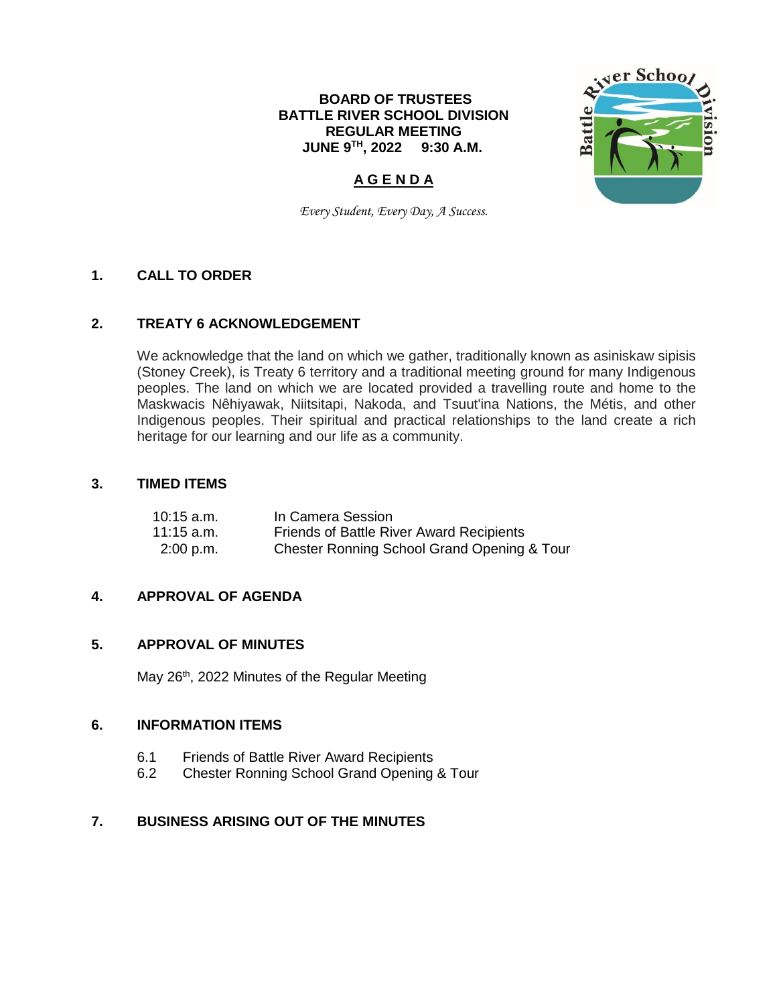# **BOARD OF TRUSTEES BATTLE RIVER SCHOOL DIVISION REGULAR MEETING JUNE 9 TH , 2022 9:30 A.M.**



# **A G E N D A**

*Every Student, Every Day, A Success.*

# **1. CALL TO ORDER**

### **2. TREATY 6 ACKNOWLEDGEMENT**

We acknowledge that the land on which we gather, traditionally known as asiniskaw sipisis (Stoney Creek), is Treaty 6 territory and a traditional meeting ground for many Indigenous peoples. The land on which we are located provided a travelling route and home to the Maskwacis Nêhiyawak, Niitsitapi, Nakoda, and Tsuut'ina Nations, the Métis, and other Indigenous peoples. Their spiritual and practical relationships to the land create a rich heritage for our learning and our life as a community.

### **3. TIMED ITEMS**

| $10:15$ a.m. | In Camera Session                           |
|--------------|---------------------------------------------|
| $11:15$ a.m. | Friends of Battle River Award Recipients    |
| $2:00$ p.m.  | Chester Ronning School Grand Opening & Tour |

### **4. APPROVAL OF AGENDA**

### **5. APPROVAL OF MINUTES**

May 26<sup>th</sup>, 2022 Minutes of the Regular Meeting

### **6. INFORMATION ITEMS**

- 6.1 Friends of Battle River Award Recipients
- 6.2 Chester Ronning School Grand Opening & Tour

# **7. BUSINESS ARISING OUT OF THE MINUTES**